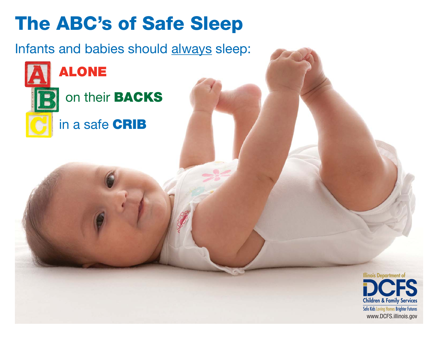## **The ABC's of Safe Sleep**

Infants and babies should always sleep:

on their **BACKS**

in a safe **CRIB**

**ALONE**